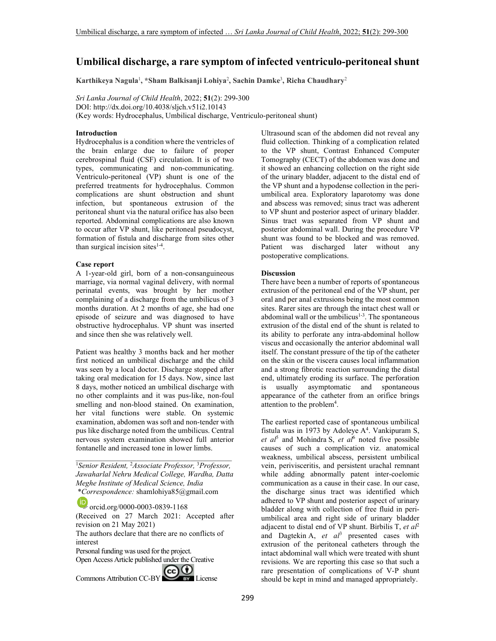# **Umbilical discharge, a rare symptom of infected ventriculo-peritoneal shunt**

**Karthikeya Nagula**<sup>1</sup> **, \*Sham Balkisanji Lohiya**<sup>2</sup> **, Sachin Damke**<sup>3</sup> **, Richa Chaudhary**<sup>2</sup>

*Sri Lanka Journal of Child Health*, 2022; **51**(2): 299-300 DOI: http://dx.doi.org/10.4038/sljch.v51i2.10143 (Key words: Hydrocephalus, Umbilical discharge, Ventriculo-peritoneal shunt)

#### **Introduction**

Hydrocephalus is a condition where the ventricles of the brain enlarge due to failure of proper cerebrospinal fluid (CSF) circulation. It is of two types, communicating and non-communicating. Ventriculo-peritoneal (VP) shunt is one of the preferred treatments for hydrocephalus. Common complications are shunt obstruction and shunt infection, but spontaneous extrusion of the peritoneal shunt via the natural orifice has also been reported. Abdominal complications are also known to occur after VP shunt, like peritoneal pseudocyst, formation of fistula and discharge from sites other than surgical incision sites $1-4$ .

#### **Case report**

A 1-year-old girl, born of a non-consanguineous marriage, via normal vaginal delivery, with normal perinatal events, was brought by her mother complaining of a discharge from the umbilicus of 3 months duration. At 2 months of age, she had one episode of seizure and was diagnosed to have obstructive hydrocephalus. VP shunt was inserted and since then she was relatively well.

Patient was healthy 3 months back and her mother first noticed an umbilical discharge and the child was seen by a local doctor. Discharge stopped after taking oral medication for 15 days. Now, since last 8 days, mother noticed an umbilical discharge with no other complaints and it was pus-like, non-foul smelling and non-blood stained. On examination, her vital functions were stable. On systemic examination, abdomen was soft and non-tender with pus like discharge noted from the umbilicus. Central nervous system examination showed full anterior fontanelle and increased tone in lower limbs.

<sup>1</sup>*Senior Resident,* <sup>2</sup>*Associate Professor,* <sup>3</sup>*Professor, Jawaharlal Nehru Medical College, Wardha, Datta Meghe Institute of Medical Science, India*  \**Correspondence:* shamlohiya85@gmail.com

\_\_\_\_\_\_\_\_\_\_\_\_\_\_\_\_\_\_\_\_\_\_\_\_\_\_\_\_\_\_\_\_\_\_\_\_\_\_\_\_\_

orcid.org/0000-0003-0839-1168 (Received on 27 March 2021: Accepted after revision on 21 May 2021) The authors declare that there are no conflicts of interest Personal funding was used for the project. Open Access Article published under the Creative Commons Attribution CC-BY CC BY License

Ultrasound scan of the abdomen did not reveal any fluid collection. Thinking of a complication related to the VP shunt, Contrast Enhanced Computer Tomography (CECT) of the abdomen was done and it showed an enhancing collection on the right side of the urinary bladder, adjacent to the distal end of the VP shunt and a hypodense collection in the periumbilical area. Exploratory laparotomy was done and abscess was removed; sinus tract was adherent to VP shunt and posterior aspect of urinary bladder. Sinus tract was separated from VP shunt and posterior abdominal wall. During the procedure VP shunt was found to be blocked and was removed. Patient was discharged later without any postoperative complications.

### **Discussion**

There have been a number of reports of spontaneous extrusion of the peritoneal end of the VP shunt, per oral and per anal extrusions being the most common sites. Rarer sites are through the intact chest wall or abdominal wall or the umbilicus<sup>1-3</sup>. The spontaneous extrusion of the distal end of the shunt is related to its ability to perforate any intra-abdominal hollow viscus and occasionally the anterior abdominal wall itself. The constant pressure of the tip of the catheter on the skin or the viscera causes local inflammation and a strong fibrotic reaction surrounding the distal end, ultimately eroding its surface. The perforation is usually asymptomatic and spontaneous appearance of the catheter from an orifice brings attention to the problem<sup>4</sup>.

The earliest reported case of spontaneous umbilical fistula was in 1973 by Adoleye  $A<sup>4</sup>$ . Vankipuram S, *et al*<sup>5</sup> and Mohindra S, *et al*<sup>6</sup> noted five possible causes of such a complication viz. anatomical weakness, umbilical abscess, persistent umbilical vein, perivisceritis, and persistent urachal remnant while adding abnormally patent inter-coelomic communication as a cause in their case. In our case, the discharge sinus tract was identified which adhered to VP shunt and posterior aspect of urinary bladder along with collection of free fluid in periumbilical area and right side of urinary bladder adjacent to distal end of VP shunt. Birbilis T, *et al*<sup>2</sup> and Dagtekin A, *et al*<sup>3</sup> presented cases with extrusion of the peritoneal catheters through the intact abdominal wall which were treated with shunt revisions. We are reporting this case so that such a rare presentation of complications of V-P shunt should be kept in mind and managed appropriately.